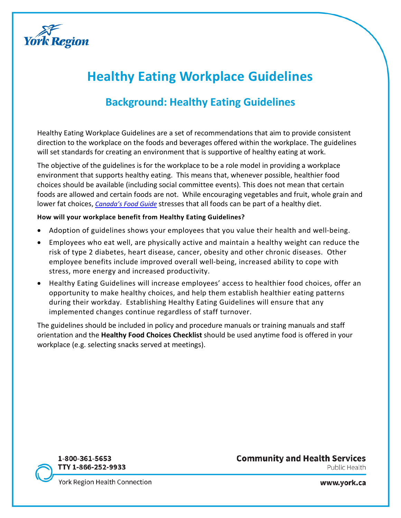

# **Healthy Eating Workplace Guidelines**

# **Background: Healthy Eating Guidelines**

Healthy Eating Workplace Guidelines are a set of recommendations that aim to provide consistent direction to the workplace on the foods and beverages offered within the workplace. The guidelines will set standards for creating an environment that is supportive of healthy eating at work.

The objective of the guidelines is for the workplace to be a role model in providing a workplace environment that supports healthy eating. This means that, whenever possible, healthier food choices should be available (including social committee events). This does not mean that certain foods are allowed and certain foods are not. While encouraging vegetables and fruit, whole grain and lower fat choices, *[Canada's Food Guide](http://www.canadasfoodguide.net/)* stresses that all foods can be part of a healthy diet.

#### **How will your workplace benefit from Healthy Eating Guidelines?**

- Adoption of guidelines shows your employees that you value their health and well-being.
- Employees who eat well, are physically active and maintain a healthy weight can reduce the risk of type 2 diabetes, heart disease, cancer, obesity and other chronic diseases. Other employee benefits include improved overall well-being, increased ability to cope with stress, more energy and increased productivity.
- Healthy Eating Guidelines will increase employees' access to healthier food choices, offer an opportunity to make healthy choices, and help them establish healthier eating patterns during their workday. Establishing Healthy Eating Guidelines will ensure that any implemented changes continue regardless of staff turnover.

The guidelines should be included in policy and procedure manuals or training manuals and staff orientation and the **Healthy Food Choices Checklist** should be used anytime food is offered in your workplace (e.g. selecting snacks served at meetings).



### **Community and Health Services** Public Health

York Region Health Connection

www.york.ca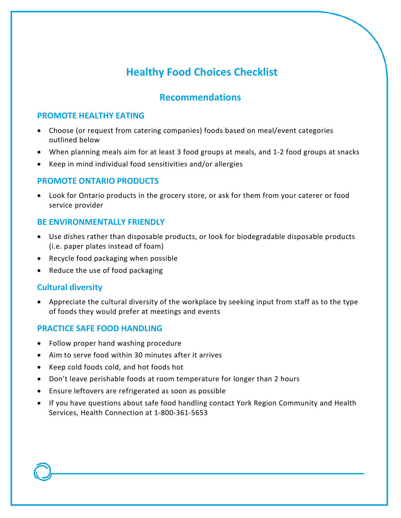# **Healthy Food Choices Checklist**

### **Recommendations**

### **PROMOTE HEALTHY EATING**

- Choose (or request from catering companies) foods based on meal/event categories outlined below
- When planning meals aim for at least 3 food groups at meals, and 1-2 food groups at snacks
- Keep in mind individual food sensitivities and/or allergies

### **PROMOTE ONTARIO PRODUCTS**

• Look for Ontario products in the grocery store, or ask for them from your caterer or food service provider

### **BE ENVIRONMENTALLY FRIENDLY**

- Use dishes rather than disposable products, or look for biodegradable disposable products (i.e. paper plates instead of foam)
- Recycle food packaging when possible
- Reduce the use of food packaging

### **Cultural diversity**

• Appreciate the cultural diversity of the workplace by seeking input from staff as to the type of foods they would prefer at meetings and events

### **PRACTICE SAFE FOOD HANDLING**

- Follow proper hand washing procedure
- Aim to serve food within 30 minutes after it arrives
- Keep cold foods cold, and hot foods hot
- Don't leave perishable foods at room temperature for longer than 2 hours
- Ensure leftovers are refrigerated as soon as possible
- If you have questions about safe food handling contact York Region Community and Health Services, Health Connection at 1-800-361-5653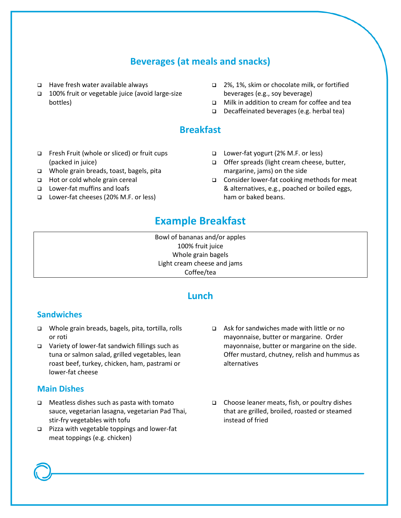### **Beverages (at meals and snacks)**

- Have fresh water available always
- 100% fruit or vegetable juice (avoid large-size bottles)
- 2%, 1%, skim or chocolate milk, or fortified beverages (e.g., soy beverage)
- □ Milk in addition to cream for coffee and tea
- Decaffeinated beverages (e.g. herbal tea)

### **Breakfast**

- □ Fresh Fruit (whole or sliced) or fruit cups (packed in juice)
- Whole grain breads, toast, bagels, pita
- □ Hot or cold whole grain cereal
- Lower-fat muffins and loafs
- Lower-fat cheeses (20% M.F. or less)
- Lower-fat yogurt (2% M.F. or less)
- □ Offer spreads (light cream cheese, butter, margarine, jams) on the side
- Consider lower-fat cooking methods for meat & alternatives, e.g., poached or boiled eggs, ham or baked beans.

### **Example Breakfast**

Bowl of bananas and/or apples 100% fruit juice Whole grain bagels Light cream cheese and jams Coffee/tea

### **Lunch**

### **Sandwiches**

- □ Whole grain breads, bagels, pita, tortilla, rolls or roti
- Variety of lower-fat sandwich fillings such as tuna or salmon salad, grilled vegetables, lean roast beef, turkey, chicken, ham, pastrami or lower-fat cheese

### **Main Dishes**

- $\Box$  Meatless dishes such as pasta with tomato sauce, vegetarian lasagna, vegetarian Pad Thai, stir-fry vegetables with tofu
- $\Box$  Pizza with vegetable toppings and lower-fat meat toppings (e.g. chicken)
- Ask for sandwiches made with little or no mayonnaise, butter or margarine. Order mayonnaise, butter or margarine on the side. Offer mustard, chutney, relish and hummus as alternatives
- $\Box$  Choose leaner meats, fish, or poultry dishes that are grilled, broiled, roasted or steamed instead of fried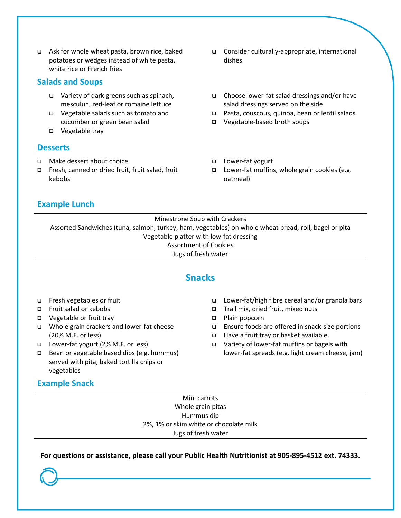$\Box$  Ask for whole wheat pasta, brown rice, baked potatoes or wedges instead of white pasta, white rice or French fries

### **Salads and Soups**

- Variety of dark greens such as spinach, mesculun, red-leaf or romaine lettuce
- Vegetable salads such as tomato and cucumber or green bean salad
- □ Vegetable tray

#### **Desserts**

- □ Make dessert about choice
- □ Fresh, canned or dried fruit, fruit salad, fruit kebobs
- Consider culturally-appropriate, international dishes
- $\Box$  Choose lower-fat salad dressings and/or have salad dressings served on the side
- Pasta, couscous, quinoa, bean or lentil salads
- Vegetable-based broth soups
- □ Lower-fat yogurt
- $\Box$  Lower-fat muffins, whole grain cookies (e.g. oatmeal)

### **Example Lunch**

Minestrone Soup with Crackers Assorted Sandwiches (tuna, salmon, turkey, ham, vegetables) on whole wheat bread, roll, bagel or pita Vegetable platter with low-fat dressing Assortment of Cookies Jugs of fresh water

### **Snacks**

- Fresh vegetables or fruit
- Fruit salad or kebobs
- Vegetable or fruit tray
- □ Whole grain crackers and lower-fat cheese (20% M.F. or less)
- Lower-fat yogurt (2% M.F. or less)
- □ Bean or vegetable based dips (e.g. hummus) served with pita, baked tortilla chips or vegetables
	-

### **Example Snack**

- Lower-fat/high fibre cereal and/or granola bars
- Trail mix, dried fruit, mixed nuts
- □ Plain popcorn
- Ensure foods are offered in snack-size portions
- □ Have a fruit tray or basket available.
- □ Variety of lower-fat muffins or bagels with lower-fat spreads (e.g. light cream cheese, jam)

Mini carrots Whole grain pitas Hummus dip 2%, 1% or skim white or chocolate milk Jugs of fresh water

**For questions or assistance, please call your Public Health Nutritionist at 905-895-4512 ext. 74333.**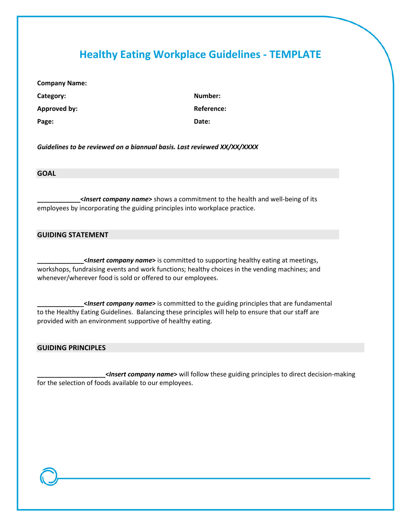## **Healthy Eating Workplace Guidelines - TEMPLATE**

**Company Name:** 

**Category: Number: Approved by: Reference: Page: Date:**

*Guidelines to be reviewed on a biannual basis. Last reviewed XX/XX/XXXX*

#### **GOAL**

**\_\_\_\_\_\_\_\_\_\_\_\_<***Insert company name***>** shows a commitment to the health and well-being of its employees by incorporating the guiding principles into workplace practice.

#### **GUIDING STATEMENT**

**\_\_\_\_\_\_\_\_\_\_\_\_\_<***Insert company name***>** is committed to supporting healthy eating at meetings, workshops, fundraising events and work functions; healthy choices in the vending machines; and whenever/wherever food is sold or offered to our employees.

**\_\_\_\_\_\_\_\_\_\_\_\_\_<***Insert company name***>** is committed to the guiding principles that are fundamental to the Healthy Eating Guidelines. Balancing these principles will help to ensure that our staff are provided with an environment supportive of healthy eating.

#### **GUIDING PRINCIPLES**

**\_\_\_\_\_\_\_\_\_\_\_\_\_\_\_\_\_\_\_<***Insert company name***>** will follow these guiding principles to direct decision-making for the selection of foods available to our employees.